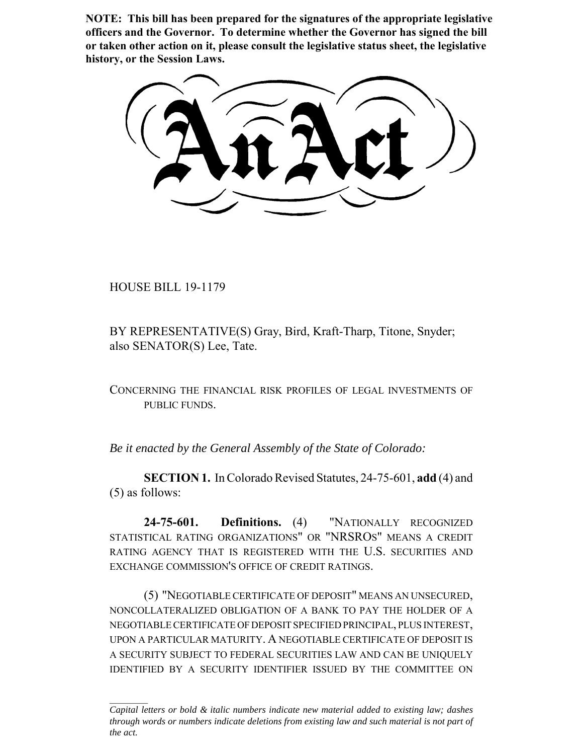**NOTE: This bill has been prepared for the signatures of the appropriate legislative officers and the Governor. To determine whether the Governor has signed the bill or taken other action on it, please consult the legislative status sheet, the legislative history, or the Session Laws.**

HOUSE BILL 19-1179

BY REPRESENTATIVE(S) Gray, Bird, Kraft-Tharp, Titone, Snyder; also SENATOR(S) Lee, Tate.

CONCERNING THE FINANCIAL RISK PROFILES OF LEGAL INVESTMENTS OF PUBLIC FUNDS.

*Be it enacted by the General Assembly of the State of Colorado:*

**SECTION 1.** In Colorado Revised Statutes, 24-75-601, **add** (4) and (5) as follows:

**24-75-601. Definitions.** (4) "NATIONALLY RECOGNIZED STATISTICAL RATING ORGANIZATIONS" OR "NRSROS" MEANS A CREDIT RATING AGENCY THAT IS REGISTERED WITH THE U.S. SECURITIES AND EXCHANGE COMMISSION'S OFFICE OF CREDIT RATINGS.

(5) "NEGOTIABLE CERTIFICATE OF DEPOSIT" MEANS AN UNSECURED, NONCOLLATERALIZED OBLIGATION OF A BANK TO PAY THE HOLDER OF A NEGOTIABLE CERTIFICATE OF DEPOSIT SPECIFIED PRINCIPAL, PLUS INTEREST, UPON A PARTICULAR MATURITY. A NEGOTIABLE CERTIFICATE OF DEPOSIT IS A SECURITY SUBJECT TO FEDERAL SECURITIES LAW AND CAN BE UNIQUELY IDENTIFIED BY A SECURITY IDENTIFIER ISSUED BY THE COMMITTEE ON

*Capital letters or bold & italic numbers indicate new material added to existing law; dashes through words or numbers indicate deletions from existing law and such material is not part of the act.*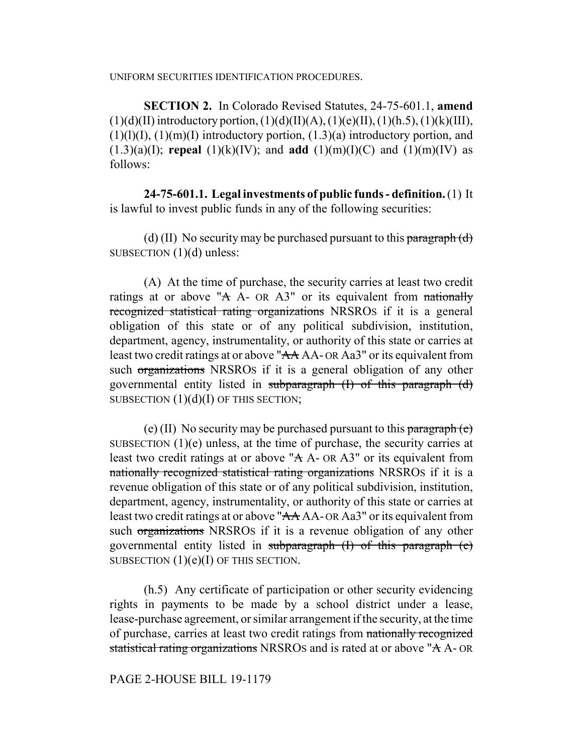UNIFORM SECURITIES IDENTIFICATION PROCEDURES.

**SECTION 2.** In Colorado Revised Statutes, 24-75-601.1, **amend**  $(1)(d)(II)$  introductory portion,  $(1)(d)(II)(A)$ ,  $(1)(e)(II)$ ,  $(1)(h.5)$ ,  $(1)(k)(III)$ ,  $(1)(1)(1)$ ,  $(1)(m)(1)$  introductory portion,  $(1.3)(a)$  introductory portion, and  $(1.3)(a)(I)$ ; **repeal**  $(1)(k)(IV)$ ; and **add**  $(1)(m)(I)(C)$  and  $(1)(m)(IV)$  as follows:

**24-75-601.1. Legal investments of public funds - definition.** (1) It is lawful to invest public funds in any of the following securities:

(d) (II) No security may be purchased pursuant to this paragraph  $(d)$ SUBSECTION (1)(d) unless:

(A) At the time of purchase, the security carries at least two credit ratings at or above " $A$  A- OR A3" or its equivalent from nationally recognized statistical rating organizations NRSROS if it is a general obligation of this state or of any political subdivision, institution, department, agency, instrumentality, or authority of this state or carries at least two credit ratings at or above "AA AA- OR Aa3" or its equivalent from such organizations NRSROS if it is a general obligation of any other governmental entity listed in subparagraph (I) of this paragraph (d) SUBSECTION  $(1)(d)(I)$  OF THIS SECTION;

(e) (II) No security may be purchased pursuant to this paragraph  $(e)$ SUBSECTION (1)(e) unless, at the time of purchase, the security carries at least two credit ratings at or above "A A- OR A3" or its equivalent from nationally recognized statistical rating organizations NRSROS if it is a revenue obligation of this state or of any political subdivision, institution, department, agency, instrumentality, or authority of this state or carries at least two credit ratings at or above "AA AA- OR Aa3" or its equivalent from such organizations NRSROS if it is a revenue obligation of any other governmental entity listed in subparagraph (I) of this paragraph (e) SUBSECTION  $(1)(e)(I)$  OF THIS SECTION.

(h.5) Any certificate of participation or other security evidencing rights in payments to be made by a school district under a lease, lease-purchase agreement, or similar arrangement if the security, at the time of purchase, carries at least two credit ratings from nationally recognized statistical rating organizations NRSROS and is rated at or above "A A- OR

PAGE 2-HOUSE BILL 19-1179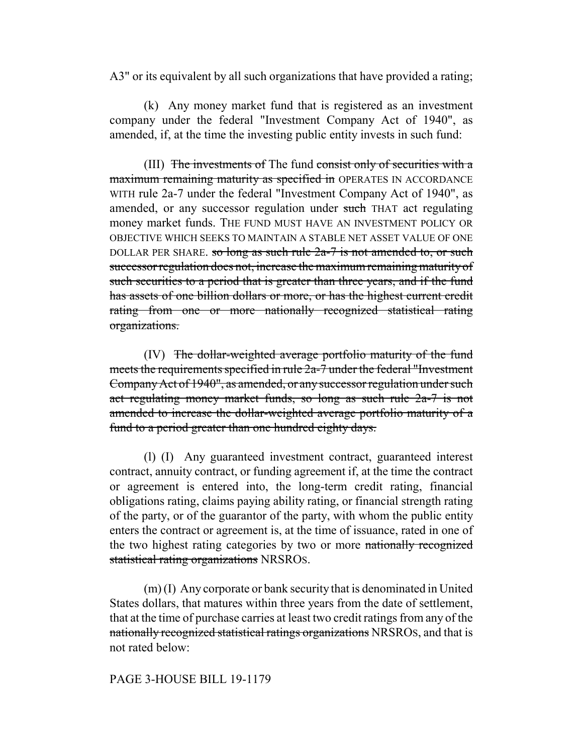A3" or its equivalent by all such organizations that have provided a rating;

(k) Any money market fund that is registered as an investment company under the federal "Investment Company Act of 1940", as amended, if, at the time the investing public entity invests in such fund:

(III) The investments of The fund consist only of securities with a maximum remaining maturity as specified in OPERATES IN ACCORDANCE WITH rule 2a-7 under the federal "Investment Company Act of 1940", as amended, or any successor regulation under such THAT act regulating money market funds. THE FUND MUST HAVE AN INVESTMENT POLICY OR OBJECTIVE WHICH SEEKS TO MAINTAIN A STABLE NET ASSET VALUE OF ONE DOLLAR PER SHARE. so long as such rule  $2a-7$  is not amended to, or such successor regulation does not, increase the maximum remaining maturity of such securities to a period that is greater than three years, and if the fund has assets of one billion dollars or more, or has the highest current credit rating from one or more nationally recognized statistical rating organizations.

(IV) The dollar-weighted average portfolio maturity of the fund meets the requirements specified in rule 2a-7 under the federal "Investment Company Act of 1940", as amended, or any successor regulation under such act regulating money market funds, so long as such rule 2a-7 is not amended to increase the dollar-weighted average portfolio maturity of a fund to a period greater than one hundred eighty days.

(l) (I) Any guaranteed investment contract, guaranteed interest contract, annuity contract, or funding agreement if, at the time the contract or agreement is entered into, the long-term credit rating, financial obligations rating, claims paying ability rating, or financial strength rating of the party, or of the guarantor of the party, with whom the public entity enters the contract or agreement is, at the time of issuance, rated in one of the two highest rating categories by two or more nationally recognized statistical rating organizations NRSROS.

(m) (I) Any corporate or bank security that is denominated in United States dollars, that matures within three years from the date of settlement, that at the time of purchase carries at least two credit ratings from any of the nationally recognized statistical ratings organizations NRSROS, and that is not rated below:

## PAGE 3-HOUSE BILL 19-1179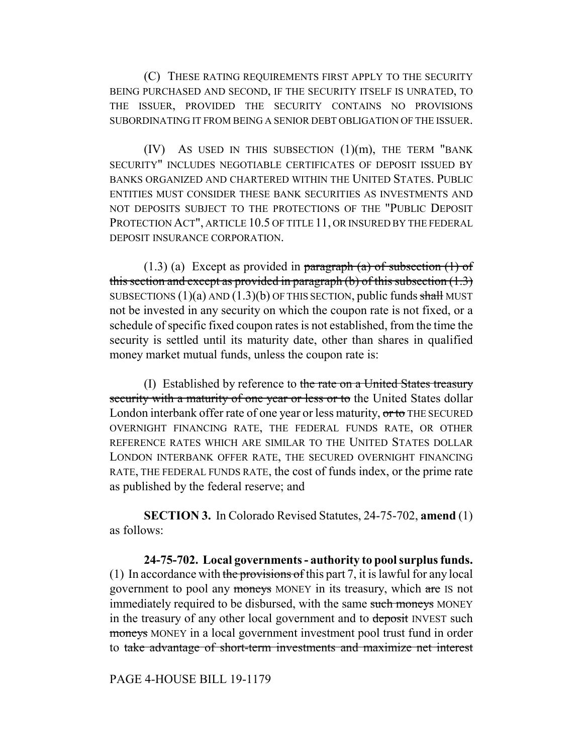(C) THESE RATING REQUIREMENTS FIRST APPLY TO THE SECURITY BEING PURCHASED AND SECOND, IF THE SECURITY ITSELF IS UNRATED, TO THE ISSUER, PROVIDED THE SECURITY CONTAINS NO PROVISIONS SUBORDINATING IT FROM BEING A SENIOR DEBT OBLIGATION OF THE ISSUER.

 $(IV)$  As used in this subsection  $(1)(m)$ , the term "bank" SECURITY" INCLUDES NEGOTIABLE CERTIFICATES OF DEPOSIT ISSUED BY BANKS ORGANIZED AND CHARTERED WITHIN THE UNITED STATES. PUBLIC ENTITIES MUST CONSIDER THESE BANK SECURITIES AS INVESTMENTS AND NOT DEPOSITS SUBJECT TO THE PROTECTIONS OF THE "PUBLIC DEPOSIT PROTECTION ACT", ARTICLE 10.5 OF TITLE 11, OR INSURED BY THE FEDERAL DEPOSIT INSURANCE CORPORATION.

 $(1.3)$  (a) Except as provided in paragraph (a) of subsection  $(1)$  of this section and except as provided in paragraph (b) of this subsection  $(1.3)$ SUBSECTIONS  $(1)(a)$  AND  $(1.3)(b)$  OF THIS SECTION, public funds shall MUST not be invested in any security on which the coupon rate is not fixed, or a schedule of specific fixed coupon rates is not established, from the time the security is settled until its maturity date, other than shares in qualified money market mutual funds, unless the coupon rate is:

(I) Established by reference to the rate on a United States treasury security with a maturity of one year or less or to the United States dollar London interbank offer rate of one year or less maturity, or to THE SECURED OVERNIGHT FINANCING RATE, THE FEDERAL FUNDS RATE, OR OTHER REFERENCE RATES WHICH ARE SIMILAR TO THE UNITED STATES DOLLAR LONDON INTERBANK OFFER RATE, THE SECURED OVERNIGHT FINANCING RATE, THE FEDERAL FUNDS RATE, the cost of funds index, or the prime rate as published by the federal reserve; and

**SECTION 3.** In Colorado Revised Statutes, 24-75-702, **amend** (1) as follows:

**24-75-702. Local governments - authority to pool surplus funds.** (1) In accordance with the provisions of this part 7, it is lawful for any local government to pool any moneys MONEY in its treasury, which are IS not immediately required to be disbursed, with the same such moneys MONEY in the treasury of any other local government and to deposit INVEST such moneys MONEY in a local government investment pool trust fund in order to take advantage of short-term investments and maximize net interest

PAGE 4-HOUSE BILL 19-1179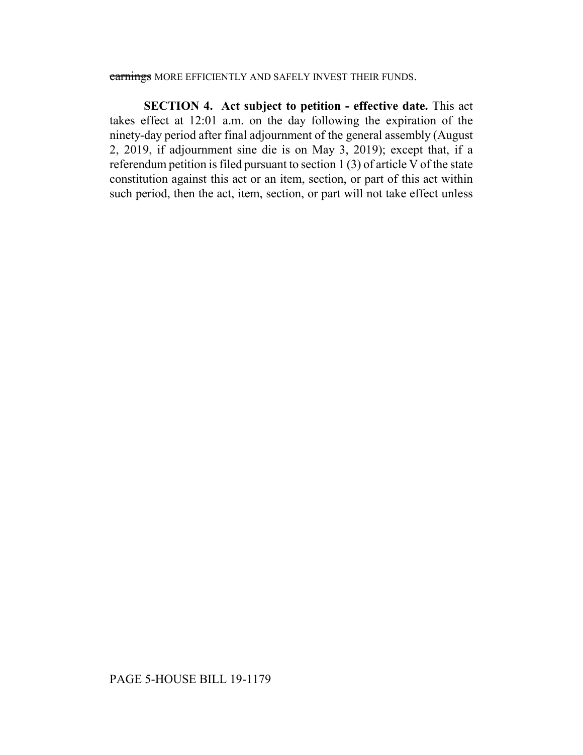## earnings MORE EFFICIENTLY AND SAFELY INVEST THEIR FUNDS.

**SECTION 4. Act subject to petition - effective date.** This act takes effect at 12:01 a.m. on the day following the expiration of the ninety-day period after final adjournment of the general assembly (August 2, 2019, if adjournment sine die is on May 3, 2019); except that, if a referendum petition is filed pursuant to section 1 (3) of article V of the state constitution against this act or an item, section, or part of this act within such period, then the act, item, section, or part will not take effect unless